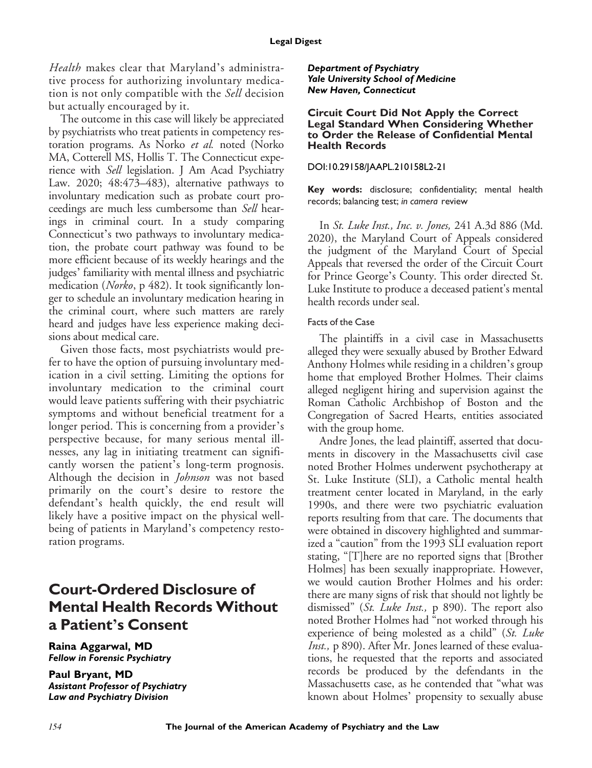Health makes clear that Maryland's administrative process for authorizing involuntary medication is not only compatible with the Sell decision but actually encouraged by it.

The outcome in this case will likely be appreciated by psychiatrists who treat patients in competency restoration programs. As Norko et al. noted (Norko MA, Cotterell MS, Hollis T. The Connecticut experience with Sell legislation. J Am Acad Psychiatry Law. 2020; 48:473–483), alternative pathways to involuntary medication such as probate court proceedings are much less cumbersome than Sell hearings in criminal court. In a study comparing Connecticut's two pathways to involuntary medication, the probate court pathway was found to be more efficient because of its weekly hearings and the judges' familiarity with mental illness and psychiatric medication (Norko, p 482). It took significantly longer to schedule an involuntary medication hearing in the criminal court, where such matters are rarely heard and judges have less experience making decisions about medical care.

Given those facts, most psychiatrists would prefer to have the option of pursuing involuntary medication in a civil setting. Limiting the options for involuntary medication to the criminal court would leave patients suffering with their psychiatric symptoms and without beneficial treatment for a longer period. This is concerning from a provider's perspective because, for many serious mental illnesses, any lag in initiating treatment can significantly worsen the patient's long-term prognosis. Although the decision in Johnson was not based primarily on the court's desire to restore the defendant's health quickly, the end result will likely have a positive impact on the physical wellbeing of patients in Maryland's competency restoration programs.

## **Court-Ordered Disclosure of Mental Health Records Without a Patient**'**s Consent**

**Raina Aggarwal, MD** *Fellow in Forensic Psychiatry*

**Paul Bryant, MD** *Assistant Professor of Psychiatry Law and Psychiatry Division*

*Department of Psychiatry Yale University School of Medicine New Haven, Connecticut*

#### **Circuit Court Did Not Apply the Correct Legal Standard When Considering Whether to Order the Release of Confidential Mental Health Records**

### DOI:10.29158/JAAPL.210158L2-21

**Key words:** disclosure; confidentiality; mental health records; balancing test; *in camera* review

In St. Luke Inst., Inc. v. Jones, 241 A.3d 886 (Md. 2020), the Maryland Court of Appeals considered the judgment of the Maryland Court of Special Appeals that reversed the order of the Circuit Court for Prince George's County. This order directed St. Luke Institute to produce a deceased patient's mental health records under seal.

## Facts of the Case

The plaintiffs in a civil case in Massachusetts alleged they were sexually abused by Brother Edward Anthony Holmes while residing in a children's group home that employed Brother Holmes. Their claims alleged negligent hiring and supervision against the Roman Catholic Archbishop of Boston and the Congregation of Sacred Hearts, entities associated with the group home.

Andre Jones, the lead plaintiff, asserted that documents in discovery in the Massachusetts civil case noted Brother Holmes underwent psychotherapy at St. Luke Institute (SLI), a Catholic mental health treatment center located in Maryland, in the early 1990s, and there were two psychiatric evaluation reports resulting from that care. The documents that were obtained in discovery highlighted and summarized a "caution" from the 1993 SLI evaluation report stating, "[T]here are no reported signs that [Brother Holmes] has been sexually inappropriate. However, we would caution Brother Holmes and his order: there are many signs of risk that should not lightly be dismissed" (St. Luke Inst., p 890). The report also noted Brother Holmes had "not worked through his experience of being molested as a child" (St. Luke Inst., p 890). After Mr. Jones learned of these evaluations, he requested that the reports and associated records be produced by the defendants in the Massachusetts case, as he contended that "what was known about Holmes' propensity to sexually abuse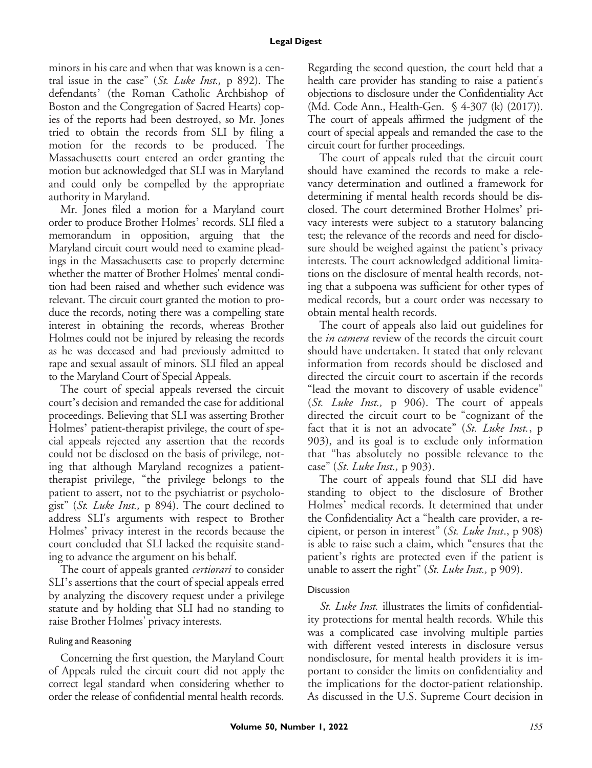#### **Legal Digest**

minors in his care and when that was known is a central issue in the case" (St. Luke Inst., p 892). The defendants' (the Roman Catholic Archbishop of Boston and the Congregation of Sacred Hearts) copies of the reports had been destroyed, so Mr. Jones tried to obtain the records from SLI by filing a motion for the records to be produced. The Massachusetts court entered an order granting the motion but acknowledged that SLI was in Maryland and could only be compelled by the appropriate authority in Maryland.

Mr. Jones filed a motion for a Maryland court order to produce Brother Holmes' records. SLI filed a memorandum in opposition, arguing that the Maryland circuit court would need to examine pleadings in the Massachusetts case to properly determine whether the matter of Brother Holmes' mental condition had been raised and whether such evidence was relevant. The circuit court granted the motion to produce the records, noting there was a compelling state interest in obtaining the records, whereas Brother Holmes could not be injured by releasing the records as he was deceased and had previously admitted to rape and sexual assault of minors. SLI filed an appeal to the Maryland Court of Special Appeals.

The court of special appeals reversed the circuit court's decision and remanded the case for additional proceedings. Believing that SLI was asserting Brother Holmes' patient-therapist privilege, the court of special appeals rejected any assertion that the records could not be disclosed on the basis of privilege, noting that although Maryland recognizes a patienttherapist privilege, "the privilege belongs to the patient to assert, not to the psychiatrist or psychologist" (St. Luke Inst., p 894). The court declined to address SLI's arguments with respect to Brother Holmes' privacy interest in the records because the court concluded that SLI lacked the requisite standing to advance the argument on his behalf.

The court of appeals granted *certiorari* to consider SLI's assertions that the court of special appeals erred by analyzing the discovery request under a privilege statute and by holding that SLI had no standing to raise Brother Holmes' privacy interests.

#### Ruling and Reasoning

Concerning the first question, the Maryland Court of Appeals ruled the circuit court did not apply the correct legal standard when considering whether to order the release of confidential mental health records.

Regarding the second question, the court held that a health care provider has standing to raise a patient's objections to disclosure under the Confidentiality Act (Md. Code Ann., Health-Gen. § 4-307 (k) (2017)). The court of appeals affirmed the judgment of the court of special appeals and remanded the case to the circuit court for further proceedings.

The court of appeals ruled that the circuit court should have examined the records to make a relevancy determination and outlined a framework for determining if mental health records should be disclosed. The court determined Brother Holmes' privacy interests were subject to a statutory balancing test; the relevance of the records and need for disclosure should be weighed against the patient's privacy interests. The court acknowledged additional limitations on the disclosure of mental health records, noting that a subpoena was sufficient for other types of medical records, but a court order was necessary to obtain mental health records.

The court of appeals also laid out guidelines for the *in camera* review of the records the circuit court should have undertaken. It stated that only relevant information from records should be disclosed and directed the circuit court to ascertain if the records "lead the movant to discovery of usable evidence" (St. Luke Inst., p 906). The court of appeals directed the circuit court to be "cognizant of the fact that it is not an advocate" (St. Luke Inst., p 903), and its goal is to exclude only information that "has absolutely no possible relevance to the case" (St. Luke Inst.,  $p$  903).

The court of appeals found that SLI did have standing to object to the disclosure of Brother Holmes' medical records. It determined that under the Confidentiality Act a "health care provider, a recipient, or person in interest"  $(St. \; Luke \; Inst., p \; 908)$ is able to raise such a claim, which "ensures that the patient's rights are protected even if the patient is unable to assert the right" (St. Luke Inst., p 909).

#### **Discussion**

St. Luke Inst. illustrates the limits of confidentiality protections for mental health records. While this was a complicated case involving multiple parties with different vested interests in disclosure versus nondisclosure, for mental health providers it is important to consider the limits on confidentiality and the implications for the doctor-patient relationship. As discussed in the U.S. Supreme Court decision in